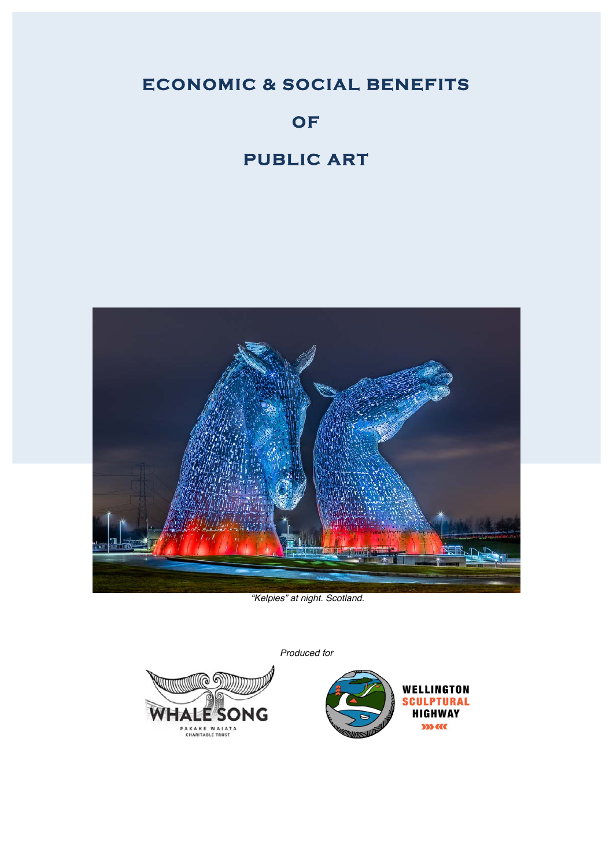# **ECONOMIC & SOCIAL BENEFITS**

# **OF**

# **PUBLIC ART**



*"Kelpies" at night. Scotland.*

*Produced for*



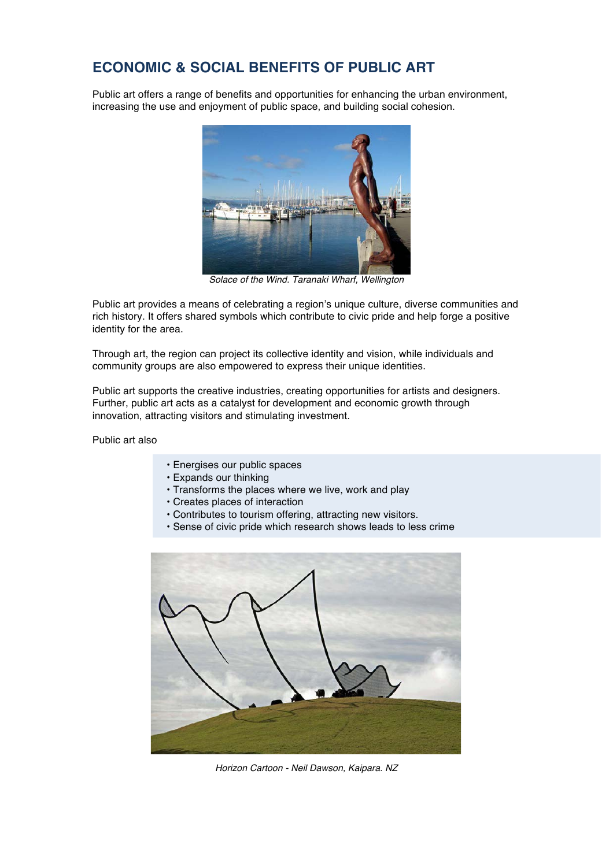## **ECONOMIC & SOCIAL BENEFITS OF PUBLIC ART**

Public art offers a range of benefits and opportunities for enhancing the urban environment, increasing the use and enjoyment of public space, and building social cohesion.



*Solace of the Wind. Taranaki Wharf, Wellington*

Public art provides a means of celebrating a region's unique culture, diverse communities and rich history. It offers shared symbols which contribute to civic pride and help forge a positive identity for the area.

Through art, the region can project its collective identity and vision, while individuals and community groups are also empowered to express their unique identities.

Public art supports the creative industries, creating opportunities for artists and designers. Further, public art acts as a catalyst for development and economic growth through innovation, attracting visitors and stimulating investment.

Public art also

- Energises our public spaces
- Expands our thinking
- Transforms the places where we live, work and play
- Creates places of interaction
- Contributes to tourism offering, attracting new visitors.
- Sense of civic pride which research shows leads to less crime



*Horizon Cartoon - Neil Dawson, Kaipara. NZ*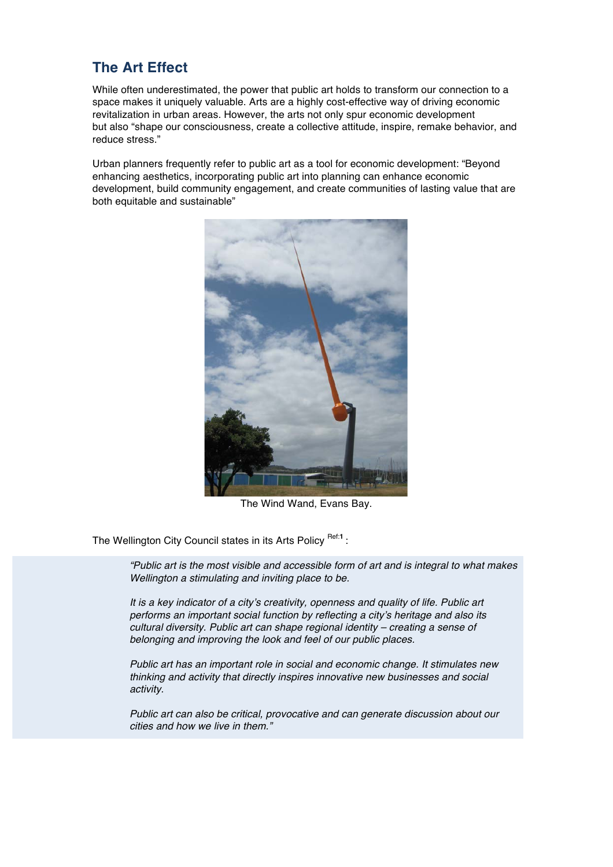## **The Art Effect**

While often underestimated, the power that public art holds to transform our connection to a space makes it uniquely valuable. Arts are a highly cost-effective way of driving economic revitalization in urban areas. However, the arts not only spur economic development but also "shape our consciousness, create a collective attitude, inspire, remake behavior, and reduce stress."

Urban planners frequently refer to public art as a tool for economic development: "Beyond enhancing aesthetics, incorporating public art into planning can enhance economic development, build community engagement, and create communities of lasting value that are both equitable and sustainable"



The Wind Wand, Evans Bay.

The Wellington City Council states in its Arts Policy Ref<sup>:1</sup>:

*"Public art is the most visible and accessible form of art and is integral to what makes Wellington a stimulating and inviting place to be.* 

*It is a key indicator of a city's creativity, openness and quality of life. Public art performs an important social function by reflecting a city's heritage and also its cultural diversity. Public art can shape regional identity – creating a sense of belonging and improving the look and feel of our public places.* 

*Public art has an important role in social and economic change. It stimulates new thinking and activity that directly inspires innovative new businesses and social activity.* 

*Public art can also be critical, provocative and can generate discussion about our cities and how we live in them."*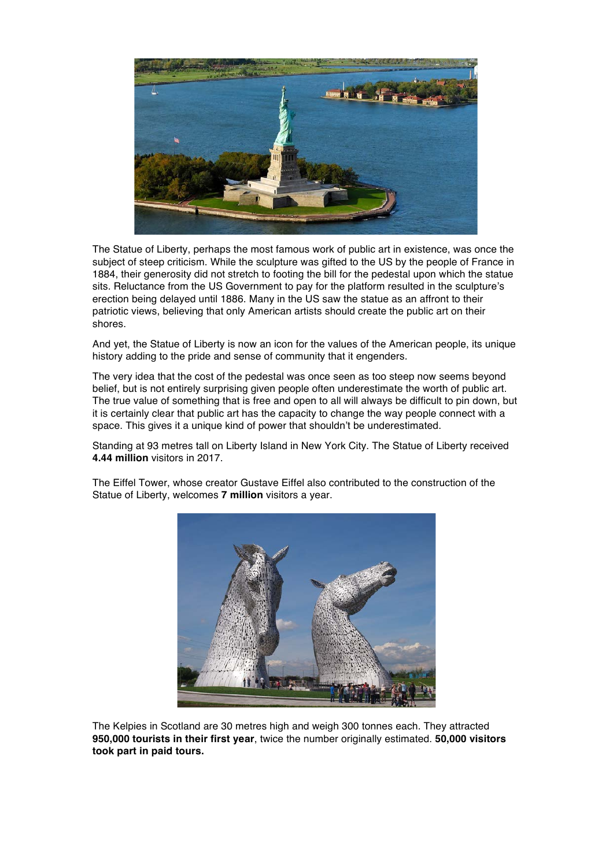

The Statue of Liberty, perhaps the most famous work of public art in existence, was once the subject of steep criticism. While the sculpture was gifted to the US by the people of France in 1884, their generosity did not stretch to footing the bill for the pedestal upon which the statue sits. Reluctance from the US Government to pay for the platform resulted in the sculpture's erection being delayed until 1886. Many in the US saw the statue as an affront to their patriotic views, believing that only American artists should create the public art on their shores.

And yet, the Statue of Liberty is now an icon for the values of the American people, its unique history adding to the pride and sense of community that it engenders.

The very idea that the cost of the pedestal was once seen as too steep now seems beyond belief, but is not entirely surprising given people often underestimate the worth of public art. The true value of something that is free and open to all will always be difficult to pin down, but it is certainly clear that public art has the capacity to change the way people connect with a space. This gives it a unique kind of power that shouldn't be underestimated.

Standing at 93 metres tall on Liberty Island in New York City. The Statue of Liberty received **4.44 million** visitors in 2017.

The Eiffel Tower, whose creator Gustave Eiffel also contributed to the construction of the Statue of Liberty, welcomes **7 million** visitors a year.



The Kelpies in Scotland are 30 metres high and weigh 300 tonnes each. They attracted **950,000 tourists in their first year**, twice the number originally estimated. **50,000 visitors took part in paid tours.**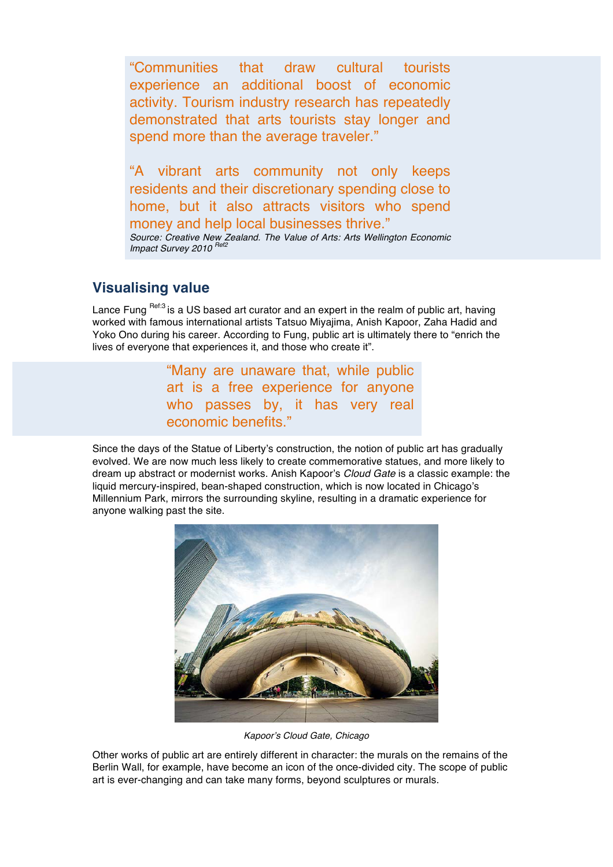"Communities that draw cultural tourists experience an additional boost of economic activity. Tourism industry research has repeatedly demonstrated that arts tourists stay longer and spend more than the average traveler."

"A vibrant arts community not only keeps residents and their discretionary spending close to home, but it also attracts visitors who spend money and help local businesses thrive." *Source: Creative New Zealand. The Value of Arts: Arts Wellington Economic Impact Survey 2010 Ref2*

#### **Visualising value**

Lance Fung Ref:3 is a US based art curator and an expert in the realm of public art, having worked with famous international artists Tatsuo Miyajima, Anish Kapoor, Zaha Hadid and Yoko Ono during his career. According to Fung, public art is ultimately there to "enrich the lives of everyone that experiences it, and those who create it".

> "Many are unaware that, while public art is a free experience for anyone who passes by, it has very real economic benefits."

Since the days of the Statue of Liberty's construction, the notion of public art has gradually evolved. We are now much less likely to create commemorative statues, and more likely to dream up abstract or modernist works. Anish Kapoor's *Cloud Gate* is a classic example: the liquid mercury-inspired, bean-shaped construction, which is now located in Chicago's Millennium Park, mirrors the surrounding skyline, resulting in a dramatic experience for anyone walking past the site.



*Kapoor's Cloud Gate, Chicago*

Other works of public art are entirely different in character: the murals on the remains of the Berlin Wall, for example, have become an icon of the once-divided city. The scope of public art is ever-changing and can take many forms, beyond sculptures or murals.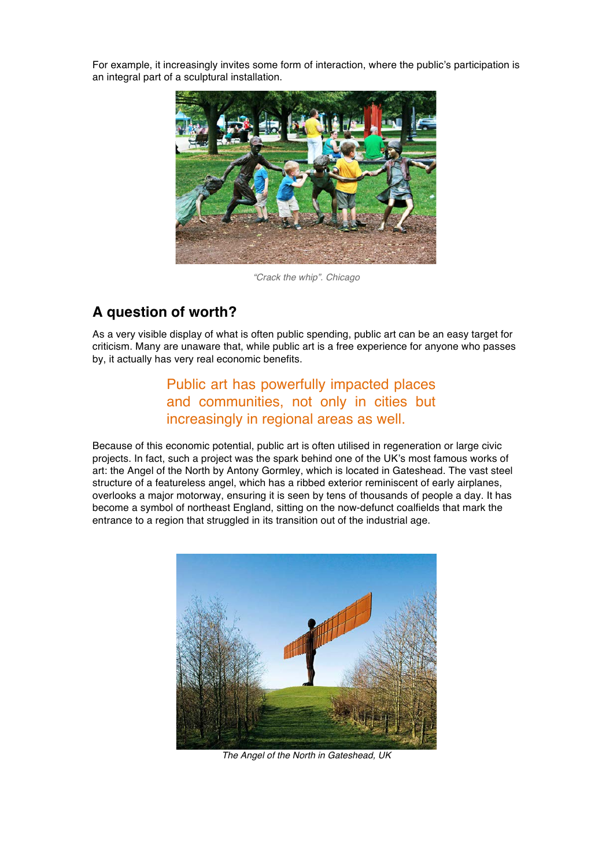For example, it increasingly invites some form of interaction, where the public's participation is an integral part of a sculptural installation.



*"Crack the whip". Chicago*

#### **A question of worth?**

As a very visible display of what is often public spending, public art can be an easy target for criticism. Many are unaware that, while public art is a free experience for anyone who passes by, it actually has very real economic benefits.

#### Public art has powerfully impacted places and communities, not only in cities but increasingly in regional areas as well.

Because of this economic potential, public art is often utilised in regeneration or large civic projects. In fact, such a project was the spark behind one of the UK's most famous works of art: the Angel of the North by Antony Gormley, which is located in Gateshead. The vast steel structure of a featureless angel, which has a ribbed exterior reminiscent of early airplanes, overlooks a major motorway, ensuring it is seen by tens of thousands of people a day. It has become a symbol of northeast England, sitting on the now-defunct coalfields that mark the entrance to a region that struggled in its transition out of the industrial age.



*The Angel of the North in Gateshead, UK*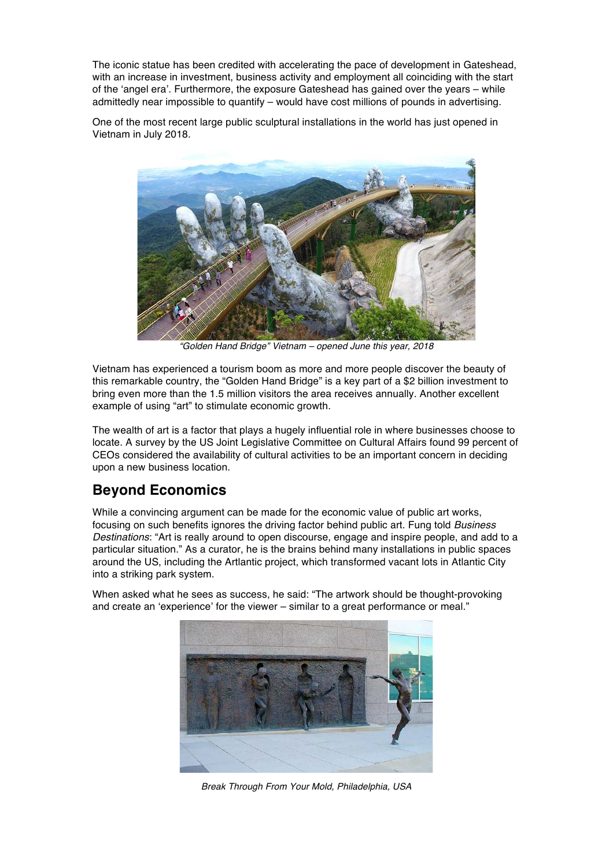The iconic statue has been credited with accelerating the pace of development in Gateshead, with an increase in investment, business activity and employment all coinciding with the start of the 'angel era'. Furthermore, the exposure Gateshead has gained over the years – while admittedly near impossible to quantify – would have cost millions of pounds in advertising.

One of the most recent large public sculptural installations in the world has just opened in Vietnam in July 2018.



*"Golden Hand Bridge" Vietnam – opened June this year, 2018*

Vietnam has experienced a tourism boom as more and more people discover the beauty of this remarkable country, the "Golden Hand Bridge" is a key part of a \$2 billion investment to bring even more than the 1.5 million visitors the area receives annually. Another excellent example of using "art" to stimulate economic growth.

The wealth of art is a factor that plays a hugely influential role in where businesses choose to locate. A survey by the US Joint Legislative Committee on Cultural Affairs found 99 percent of CEOs considered the availability of cultural activities to be an important concern in deciding upon a new business location.

#### **Beyond Economics**

While a convincing argument can be made for the economic value of public art works, focusing on such benefits ignores the driving factor behind public art. Fung told *Business Destinations*: "Art is really around to open discourse, engage and inspire people, and add to a particular situation." As a curator, he is the brains behind many installations in public spaces around the US, including the Artlantic project, which transformed vacant lots in Atlantic City into a striking park system.

When asked what he sees as success, he said: "The artwork should be thought-provoking and create an 'experience' for the viewer – similar to a great performance or meal."



*Break Through From Your Mold, Philadelphia, USA*